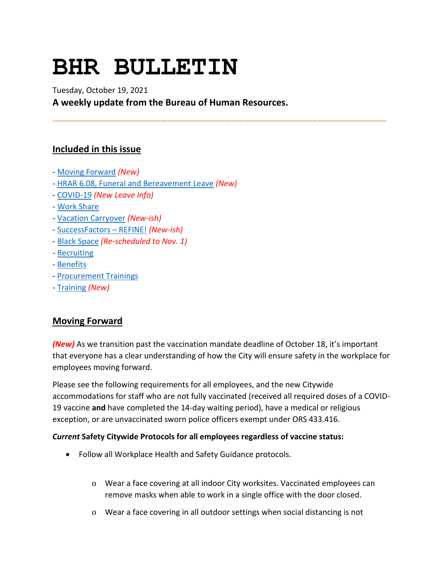# **BHR BULLETIN**

Tuesday, October 19, 2021

**A weekly update from the Bureau of Human Resources.**

**----------------------------------------------------------------------------------------------------------------------------------------**

# **Included in this issue**

- [Moving Forward](#page-0-0) *(New)*
- [HRAR 6.08, Funeral and Bereavement Leave](#page-2-0) *(New)*
- [COVID-19](#page-2-1) *(New Leave Info)*
- [Work Share](#page-5-0)
- [Vacation Carryover](#page-6-0) *(New-ish)*
- [SuccessFactors –](#page-7-0) REFINE! *(New-ish)*
- [Black Space](#page-8-0) *(Re-scheduled to Nov. 1)*
- [Recruiting](#page-9-0)
- [Benefits](#page-9-1)
- [Procurement Trainings](#page-10-0)
- [Training](#page-10-1) *(New)*

# <span id="page-0-0"></span>**Moving Forward**

*(New)* As we transition past the vaccination mandate deadline of October 18, it's important that everyone has a clear understanding of how the City will ensure safety in the workplace for employees moving forward.

Please see the following requirements for all employees, and the new Citywide accommodations for staff who are not fully vaccinated (received all required doses of a COVID-19 vaccine **and** have completed the 14-day waiting period), have a medical or religious exception, or are unvaccinated sworn police officers exempt under ORS 433.416.

#### *Current* **Safety Citywide Protocols for all employees regardless of vaccine status:**

- Follow all Workplace Health and Safety Guidance protocols.
	- o Wear a face covering at all indoor City worksites. Vaccinated employees can remove masks when able to work in a single office with the door closed.
	- o Wear a face covering in all outdoor settings when social distancing is not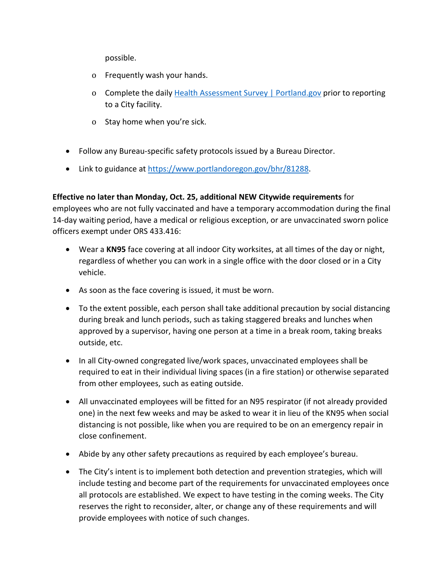possible.

- o Frequently wash your hands.
- o Complete the daily [Health Assessment Survey | Portland.gov](https://www.portland.gov/health-assessment) prior to reporting to a City facility.
- o Stay home when you're sick.
- Follow any Bureau-specific safety protocols issued by a Bureau Director.
- Link to guidance at [https://www.portlandoregon.gov/bhr/81288.](https://www.portlandoregon.gov/bhr/81288)

#### **Effective no later than Monday, Oct. 25, additional NEW Citywide requirements** for

employees who are not fully vaccinated and have a temporary accommodation during the final 14-day waiting period, have a medical or religious exception, or are unvaccinated sworn police officers exempt under ORS 433.416:

- Wear a **KN95** face covering at all indoor City worksites, at all times of the day or night, regardless of whether you can work in a single office with the door closed or in a City vehicle.
- As soon as the face covering is issued, it must be worn.
- To the extent possible, each person shall take additional precaution by social distancing during break and lunch periods, such as taking staggered breaks and lunches when approved by a supervisor, having one person at a time in a break room, taking breaks outside, etc.
- In all City-owned congregated live/work spaces, unvaccinated employees shall be required to eat in their individual living spaces (in a fire station) or otherwise separated from other employees, such as eating outside.
- All unvaccinated employees will be fitted for an N95 respirator (if not already provided one) in the next few weeks and may be asked to wear it in lieu of the KN95 when social distancing is not possible, like when you are required to be on an emergency repair in close confinement.
- Abide by any other safety precautions as required by each employee's bureau.
- The City's intent is to implement both detection and prevention strategies, which will include testing and become part of the requirements for unvaccinated employees once all protocols are established. We expect to have testing in the coming weeks. The City reserves the right to reconsider, alter, or change any of these requirements and will provide employees with notice of such changes.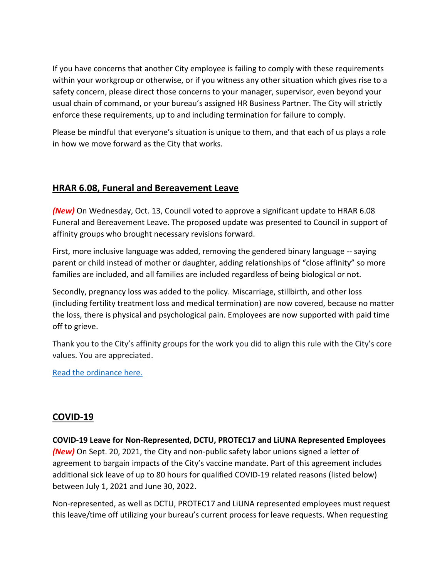If you have concerns that another City employee is failing to comply with these requirements within your workgroup or otherwise, or if you witness any other situation which gives rise to a safety concern, please direct those concerns to your manager, supervisor, even beyond your usual chain of command, or your bureau's assigned HR Business Partner. The City will strictly enforce these requirements, up to and including termination for failure to comply.

Please be mindful that everyone's situation is unique to them, and that each of us plays a role in how we move forward as the City that works.

# <span id="page-2-0"></span>**HRAR 6.08, Funeral and Bereavement Leave**

*(New)* On Wednesday, Oct. 13, Council voted to approve a significant update to HRAR 6.08 Funeral and Bereavement Leave. The proposed update was presented to Council in support of affinity groups who brought necessary revisions forward.

First, more inclusive language was added, removing the gendered binary language -- saying parent or child instead of mother or daughter, adding relationships of "close affinity" so more families are included, and all families are included regardless of being biological or not.

Secondly, pregnancy loss was added to the policy. Miscarriage, stillbirth, and other loss (including fertility treatment loss and medical termination) are now covered, because no matter the loss, there is physical and psychological pain. Employees are now supported with paid time off to grieve.

Thank you to the City's affinity groups for the work you did to align this rule with the City's core values. You are appreciated.

[Read the ordinance here.](https://www.portland.gov/council/documents/ordinance/passed/190580)

# <span id="page-2-1"></span>**COVID-19**

**COVID-19 Leave for Non-Represented, DCTU, PROTEC17 and LiUNA Represented Employees**

*(New)* On Sept. 20, 2021, the City and non-public safety labor unions signed a letter of agreement to bargain impacts of the City's vaccine mandate. Part of this agreement includes additional sick leave of up to 80 hours for qualified COVID-19 related reasons (listed below) between July 1, 2021 and June 30, 2022.

Non-represented, as well as DCTU, PROTEC17 and LiUNA represented employees must request this leave/time off utilizing your bureau's current process for leave requests. When requesting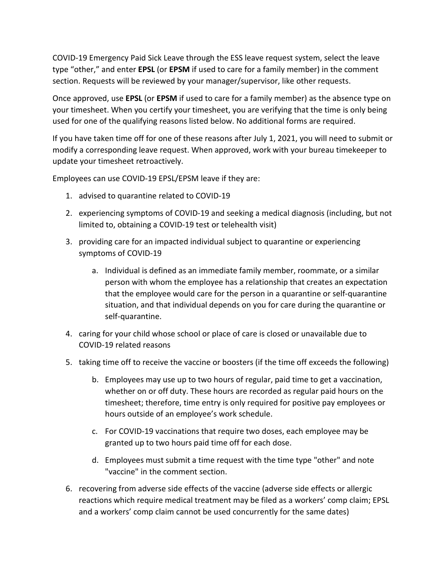COVID-19 Emergency Paid Sick Leave through the ESS leave request system, select the leave type "other," and enter **EPSL** (or **EPSM** if used to care for a family member) in the comment section. Requests will be reviewed by your manager/supervisor, like other requests.

Once approved, use **EPSL** (or **EPSM** if used to care for a family member) as the absence type on your timesheet. When you certify your timesheet, you are verifying that the time is only being used for one of the qualifying reasons listed below. No additional forms are required.

If you have taken time off for one of these reasons after July 1, 2021, you will need to submit or modify a corresponding leave request. When approved, work with your bureau timekeeper to update your timesheet retroactively.

Employees can use COVID-19 EPSL/EPSM leave if they are:

- 1. advised to quarantine related to COVID-19
- 2. experiencing symptoms of COVID-19 and seeking a medical diagnosis (including, but not limited to, obtaining a COVID-19 test or telehealth visit)
- 3. providing care for an impacted individual subject to quarantine or experiencing symptoms of COVID-19
	- a. Individual is defined as an immediate family member, roommate, or a similar person with whom the employee has a relationship that creates an expectation that the employee would care for the person in a quarantine or self-quarantine situation, and that individual depends on you for care during the quarantine or self-quarantine.
- 4. caring for your child whose school or place of care is closed or unavailable due to COVID-19 related reasons
- 5. taking time off to receive the vaccine or boosters (if the time off exceeds the following)
	- b. Employees may use up to two hours of regular, paid time to get a vaccination, whether on or off duty. These hours are recorded as regular paid hours on the timesheet; therefore, time entry is only required for positive pay employees or hours outside of an employee's work schedule.
	- c. For COVID-19 vaccinations that require two doses, each employee may be granted up to two hours paid time off for each dose.
	- d. Employees must submit a time request with the time type "other" and note "vaccine" in the comment section.
- 6. recovering from adverse side effects of the vaccine (adverse side effects or allergic reactions which require medical treatment may be filed as a workers' comp claim; EPSL and a workers' comp claim cannot be used concurrently for the same dates)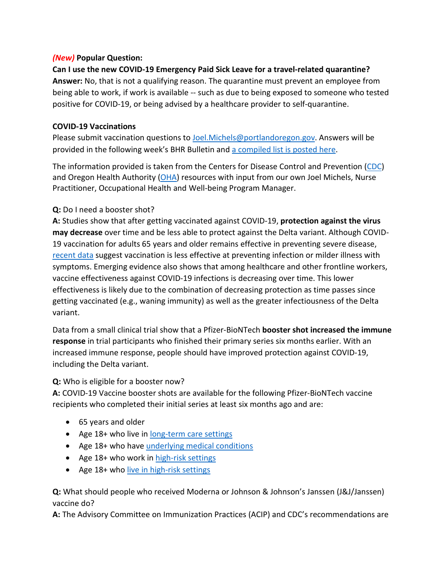#### *(New)* **Popular Question:**

# **Can I use the new COVID-19 Emergency Paid Sick Leave for a travel-related quarantine? Answer:** No, that is not a qualifying reason. The quarantine must prevent an employee from being able to work, if work is available -- such as due to being exposed to someone who tested positive for COVID-19, or being advised by a healthcare provider to self-quarantine.

# **COVID-19 Vaccinations**

Please submit vaccination questions to [Joel.Michels@portlandoregon.gov.](mailto:Joel.Michels@portlandoregon.gov) Answers will be provided in the following week's BHR Bulletin an[d a compiled list is posted here.](https://www.portlandoregon.gov/bhr/article/796480)

The information provided is taken from the Centers for Disease Control and Prevention [\(CDC\)](https://www.cdc.gov/coronavirus/2019-ncov/vaccines/index.html) and Oregon Health Authority [\(OHA\)](https://covidvaccine.oregon.gov/) resources with input from our own Joel Michels, Nurse Practitioner, Occupational Health and Well-being Program Manager.

# **Q:** Do I need a booster shot?

**A:** Studies show that after getting vaccinated against COVID-19, **protection against the virus may decrease** over time and be less able to protect against the Delta variant. Although COVID-19 vaccination for adults 65 years and older remains effective in preventing severe disease, [recent data](https://www.cdc.gov/vaccines/acip/meetings/downloads/slides-2021-9-23/03-COVID-Oliver.pdf) suggest vaccination is less effective at preventing infection or milder illness with symptoms. Emerging evidence also shows that among healthcare and other frontline workers, vaccine effectiveness against COVID-19 infections is decreasing over time. This lower effectiveness is likely due to the combination of decreasing protection as time passes since getting vaccinated (e.g., waning immunity) as well as the greater infectiousness of the Delta variant.

Data from a small clinical trial show that a Pfizer-BioNTech **booster shot increased the immune response** in trial participants who finished their primary series six months earlier. With an increased immune response, people should have improved protection against COVID-19, including the Delta variant.

# **Q:** Who is eligible for a booster now?

**A:** COVID-19 Vaccine booster shots are available for the following Pfizer-BioNTech vaccine recipients who completed their initial series at least six months ago and are:

- 65 years and older
- Age 18+ who live in [long-term care settings](https://www.cdc.gov/coronavirus/2019-ncov/vaccines/booster-shot.html#long-term-care)
- Age 18+ who have [underlying medical conditions](https://www.cdc.gov/coronavirus/2019-ncov/need-extra-precautions/people-with-medical-conditions.html)
- Age 18+ who work in [high-risk settings](https://www.cdc.gov/coronavirus/2019-ncov/vaccines/booster-shot.html#HighRisk)
- Age 18+ who [live in high-risk settings](https://www.cdc.gov/coronavirus/2019-ncov/vaccines/booster-shot.html#HighRisk)

**Q:** What should people who received Moderna or Johnson & Johnson's Janssen (J&J/Janssen) vaccine do?

**A:** The Advisory Committee on Immunization Practices (ACIP) and CDC's recommendations are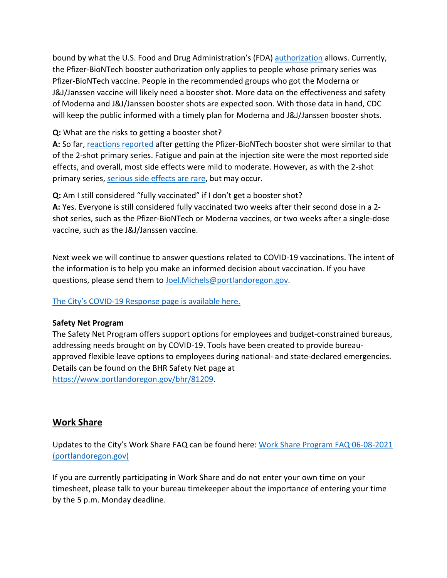bound by what the U.S. Food and Drug Administration's (FDA) [authorization](https://www.fda.gov/news-events/press-announcements/fda-authorizes-booster-dose-pfizer-biontech-covid-19-vaccine-certain-populations) allows. Currently, the Pfizer-BioNTech booster authorization only applies to people whose primary series was Pfizer-BioNTech vaccine. People in the recommended groups who got the Moderna or J&J/Janssen vaccine will likely need a booster shot. More data on the effectiveness and safety of Moderna and J&J/Janssen booster shots are expected soon. With those data in hand, CDC will keep the public informed with a timely plan for Moderna and J&J/Janssen booster shots.

**Q:** What are the risks to getting a booster shot?

**A:** So far, [reactions reported](https://www.cdc.gov/vaccines/acip/meetings/downloads/slides-2021-9-23/03-COVID-Oliver.pdf) after getting the Pfizer-BioNTech booster shot were similar to that of the 2-shot primary series. Fatigue and pain at the injection site were the most reported side effects, and overall, most side effects were mild to moderate. However, as with the 2-shot primary series, [serious side effects are rare,](https://www.cdc.gov/coronavirus/2019-ncov/vaccines/safety/safety-of-vaccines.html) but may occur.

**Q:** Am I still considered "fully vaccinated" if I don't get a booster shot?

**A:** Yes. Everyone is still considered fully vaccinated two weeks after their second dose in a 2 shot series, such as the Pfizer-BioNTech or Moderna vaccines, or two weeks after a single-dose vaccine, such as the J&J/Janssen vaccine.

Next week we will continue to answer questions related to COVID-19 vaccinations. The intent of the information is to help you make an informed decision about vaccination. If you have questions, please send them to [Joel.Michels@portlandoregon.gov.](mailto:Joel.Michels@portlandoregon.gov)

[The City's COVID-19 Response page is available here.](https://www.portlandoregon.gov/bhr/index.cfm?&c=81055)

#### **Safety Net Program**

The Safety Net Program offers support options for employees and budget-constrained bureaus, addressing needs brought on by COVID-19. Tools have been created to provide bureauapproved flexible leave options to employees during national- and state-declared emergencies. Details can be found on the BHR Safety Net page at [https://www.portlandoregon.gov/bhr/81209.](https://www.portlandoregon.gov/bhr/81209)

# <span id="page-5-0"></span>**Work Share**

Updates to the City's Work Share FAQ can be found here: [Work Share Program FAQ 06-08-2021](https://www.portlandoregon.gov/bhr/article/761976)  [\(portlandoregon.gov\)](https://www.portlandoregon.gov/bhr/article/761976)

If you are currently participating in Work Share and do not enter your own time on your timesheet, please talk to your bureau timekeeper about the importance of entering your time by the 5 p.m. Monday deadline.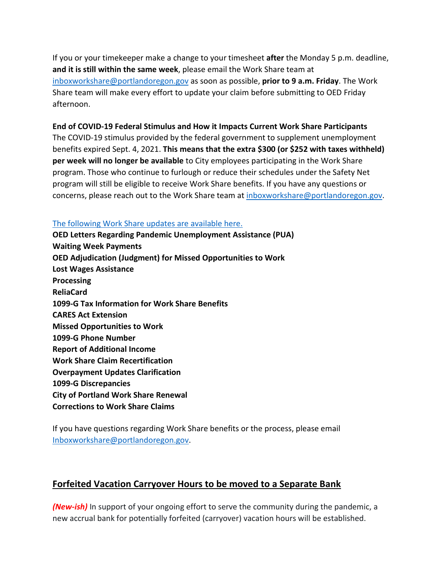If you or your timekeeper make a change to your timesheet **after** the Monday 5 p.m. deadline, **and it is still within the same week**, please email the Work Share team at [inboxworkshare@portlandoregon.gov](mailto:inboxworkshare@portlandoregon.gov) as soon as possible, **prior to 9 a.m. Friday**. The Work Share team will make every effort to update your claim before submitting to OED Friday afternoon.

#### **End of COVID-19 Federal Stimulus and How it Impacts Current Work Share Participants**

The COVID-19 stimulus provided by the federal government to supplement unemployment benefits expired Sept. 4, 2021. **This means that the extra \$300 (or \$252 with taxes withheld) per week will no longer be available** to City employees participating in the Work Share program. Those who continue to furlough or reduce their schedules under the Safety Net program will still be eligible to receive Work Share benefits. If you have any questions or concerns, please reach out to the Work Share team at [inboxworkshare@portlandoregon.gov.](mailto:inboxworkshare@portlandoregon.gov)

#### [The following Work Share updates are available here.](https://www.portlandoregon.gov/bhr/article/785595)

**OED Letters Regarding Pandemic Unemployment Assistance (PUA) Waiting Week Payments OED Adjudication (Judgment) for Missed Opportunities to Work Lost Wages Assistance Processing ReliaCard 1099-G Tax Information for Work Share Benefits CARES Act Extension Missed Opportunities to Work 1099-G Phone Number Report of Additional Income Work Share Claim Recertification Overpayment Updates Clarification 1099-G Discrepancies City of Portland Work Share Renewal Corrections to Work Share Claims**

If you have questions regarding Work Share benefits or the process, please email [Inboxworkshare@portlandoregon.gov.](mailto:Inboxworkshare@portlandoregon.gov)

# <span id="page-6-0"></span>**Forfeited Vacation Carryover Hours to be moved to a Separate Bank**

*(New-ish)* In support of your ongoing effort to serve the community during the pandemic, a new accrual bank for potentially forfeited (carryover) vacation hours will be established.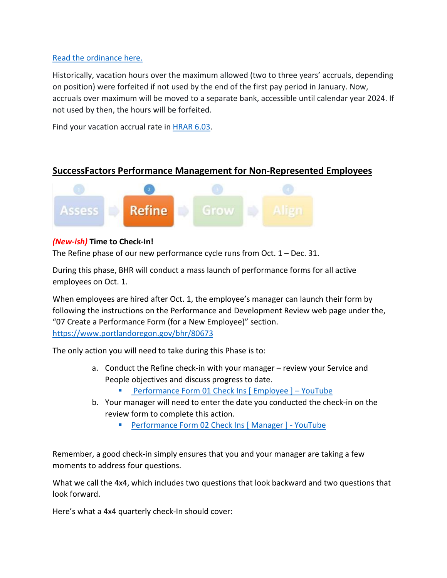#### [Read the ordinance here.](https://www.portland.gov/council/documents/ordinance/733-accrual-bank-vacation-over-max)

Historically, vacation hours over the maximum allowed (two to three years' accruals, depending on position) were forfeited if not used by the end of the first pay period in January. Now, accruals over maximum will be moved to a separate bank, accessible until calendar year 2024. If not used by then, the hours will be forfeited.

Find your vacation accrual rate i[n HRAR 6.03.](https://www.portland.gov/sites/default/files/2020-06/6-03-vacation.pdf)

# <span id="page-7-0"></span>**SuccessFactors Performance Management for Non-Represented Employees**



#### *(New-ish)* **Time to Check-In!**

The Refine phase of our new performance cycle runs from Oct. 1 – Dec. 31.

During this phase, BHR will conduct a mass launch of performance forms for all active employees on Oct. 1.

When employees are hired after Oct. 1, the employee's manager can launch their form by following the instructions on the Performance and Development Review web page under the, "07 Create a Performance Form (for a New Employee)" section. <https://www.portlandoregon.gov/bhr/80673>

The only action you will need to take during this Phase is to:

- a. Conduct the Refine check-in with your manager review your Service and People objectives and discuss progress to date.
	- **Performance Form 01 Check Ins [ Employee ] YouTube**
- b. Your manager will need to enter the date you conducted the check-in on the review form to complete this action.
	- **[Performance Form 02 Check Ins \[ Manager \] -](https://www.youtube.com/watch?v=Knt9VreiIYU) YouTube**

Remember, a good check-in simply ensures that you and your manager are taking a few moments to address four questions.

What we call the 4x4, which includes two questions that look backward and two questions that look forward.

Here's what a 4x4 quarterly check-In should cover: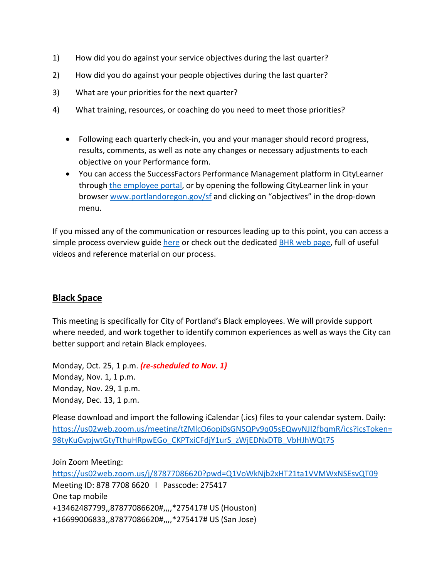- 1) How did you do against your service objectives during the last quarter?
- 2) How did you do against your people objectives during the last quarter?
- 3) What are your priorities for the next quarter?
- 4) What training, resources, or coaching do you need to meet those priorities?
	- Following each quarterly check-in, you and your manager should record progress, results, comments, as well as note any changes or necessary adjustments to each objective on your Performance form.
	- You can access the SuccessFactors Performance Management platform in CityLearner through [the employee portal,](https://www.portlandoregon.gov/employee/index.cfm?) or by opening the following CityLearner link in your browser [www.portlandoregon.gov/sf](http://www.portlandoregon.gov/sf) and clicking on "objectives" in the drop-down menu.

If you missed any of the communication or resources leading up to this point, you can access a simple process overview guide [here](https://www.portlandoregon.gov/bhr/article/758125) or check out the dedicated [BHR web page,](https://www.portlandoregon.gov/bhr/index.cfm?&c=80673) full of useful videos and reference material on our process.

# <span id="page-8-0"></span>**Black Space**

This meeting is specifically for City of Portland's Black employees. We will provide support where needed, and work together to identify common experiences as well as ways the City can better support and retain Black employees.

Monday, Oct. 25, 1 p.m. *(re-scheduled to Nov. 1)* Monday, Nov. 1, 1 p.m. Monday, Nov. 29, 1 p.m. Monday, Dec. 13, 1 p.m.

Please download and import the following iCalendar (.ics) files to your calendar system. Daily: [https://us02web.zoom.us/meeting/tZMlcO6opj0sGNSQPv9q05sEQwyNJI2fbqmR/ics?icsToken=](https://us02web.zoom.us/meeting/tZMlcO6opj0sGNSQPv9q05sEQwyNJI2fbqmR/ics?icsToken=98tyKuGvpjwtGtyTthuHRpwEGo_CKPTxiCFdjY1urS_zWjEDNxDTB_VbHJhWQt7S) [98tyKuGvpjwtGtyTthuHRpwEGo\\_CKPTxiCFdjY1urS\\_zWjEDNxDTB\\_VbHJhWQt7S](https://us02web.zoom.us/meeting/tZMlcO6opj0sGNSQPv9q05sEQwyNJI2fbqmR/ics?icsToken=98tyKuGvpjwtGtyTthuHRpwEGo_CKPTxiCFdjY1urS_zWjEDNxDTB_VbHJhWQt7S)

Join Zoom Meeting:

<https://us02web.zoom.us/j/87877086620?pwd=Q1VoWkNjb2xHT21ta1VVMWxNSEsvQT09> Meeting ID: 878 7708 6620 l Passcode: 275417 One tap mobile +13462487799,,87877086620#,,,,\*275417# US (Houston) +16699006833,,87877086620#,,,,\*275417# US (San Jose)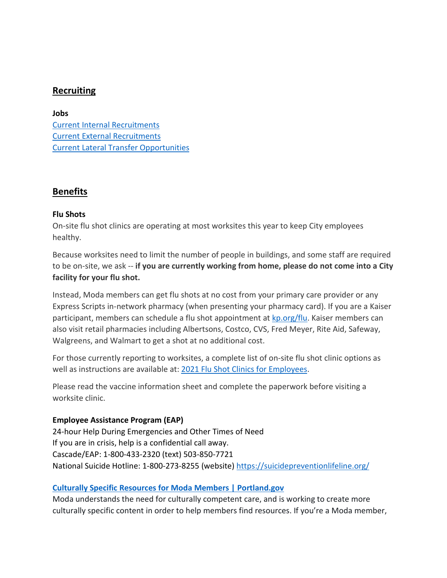### <span id="page-9-0"></span>**Recruiting**

#### **Jobs**

[Current Internal Recruitments](https://www.governmentjobs.com/careers/portlandor/promotionaljobs) [Current External Recruitments](https://www.governmentjobs.com/careers/portlandor?) [Current Lateral Transfer Opportunities](https://www.governmentjobs.com/careers/portlandor/transferjobs)

#### <span id="page-9-1"></span>**Benefits**

#### **Flu Shots**

On-site flu shot clinics are operating at most worksites this year to keep City employees healthy.

Because worksites need to limit the number of people in buildings, and some staff are required to be on-site, we ask -- **if you are currently working from home, please do not come into a City facility for your flu shot.**

Instead, Moda members can get flu shots at no cost from your primary care provider or any Express Scripts in-network pharmacy (when presenting your pharmacy card). If you are a Kaiser participant, members can schedule a flu shot appointment at [kp.org/flu.](https://healthy.kaiserpermanente.org/oregon-washington/health-wellness/flu) Kaiser members can also visit retail pharmacies including Albertsons, Costco, CVS, Fred Meyer, Rite Aid, Safeway, Walgreens, and Walmart to get a shot at no additional cost.

For those currently reporting to worksites, a complete list of on-site flu shot clinic options as well as instructions are available at: [2021 Flu Shot Clinics for Employees.](https://www.portland.gov/bhr/benefit-offerings/events/2021/9/15/2021-flu-shot-clinics-employees)

Please read the vaccine information sheet and complete the paperwork before visiting a worksite clinic.

#### **Employee Assistance Program (EAP)**

24-hour Help During Emergencies and Other Times of Need If you are in crisis, help is a confidential call away. Cascade/EAP: 1-800-433-2320 (text) 503-850-7721 National Suicide Hotline: 1-800-273-8255 (website) <https://suicidepreventionlifeline.org/>

#### **[Culturally Specific Resources for](https://www.portland.gov/bhr/benefit-offerings/news/2021/8/17/culturally-specific-resources-moda-members-0) Moda Members | Portland.go[v](https://www.portland.gov/bhr/benefit-offerings/news/2021/8/17/culturally-specific-resources-moda-members-0)**

Moda understands the need for culturally competent care, and is working to create more culturally specific content in order to help members find resources. If you're a Moda member,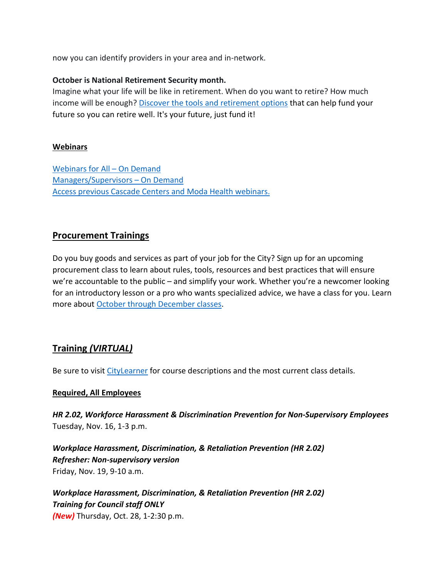now you can identify providers in your area and in-network.

#### **October is National Retirement Security month.**

Imagine what your life will be like in retirement. When do you want to retire? How much income will be enough? [Discover the tools and retirement options](https://www.portland.gov/bhr/benefit-offerings/news/2021/10/1/its-your-future-just-fund-it) that can help fund your future so you can retire well. It's your future, just fund it!

#### **Webinars**

[Webinars for All –](https://cascade-gateway.lifeadvantages.net/module.php/core/loginuserpass.php?AuthState=_3ce03a5425cee12e62d0304fc638e4faf53e14890d%3Ahttps%3A%2F%2Fcascade-gateway.lifeadvantages.net%2Fsaml2%2Fidp%2FSSOService.php%3Fspentityid%3Dhttps%253A%252F%252Fsaml-01.personaladvantage.com%252Fsp%26cookieTime%3D1625593352%26RelayState%3Dss%253Amem%253A1d8e1b0ec14601a8153ab04497bc5fd0f0d50a5926308558f40d35a41079c199) On Demand [Managers/Supervisors –](https://www.portlandoregon.gov/bhr/article/750308) On Deman[d](https://www.portlandoregon.gov/bhr/article/750308) [Access previous Cascade Centers and Moda Health webinars.](https://www.portlandoregon.gov/bhr/index.cfm?&c=79368)

# <span id="page-10-0"></span>**Procurement Trainings**

Do you buy goods and services as part of your job for the City? Sign up for an upcoming procurement class to learn about rules, tools, resources and best practices that will ensure we're accountable to the public – and simplify your work. Whether you're a newcomer looking for an introductory lesson or a pro who wants specialized advice, we have a class for you. Learn more about [October through December classes.](https://www.portlandoregon.gov/brfs/index.cfm?&a=780678)

# <span id="page-10-1"></span>**Training** *(VIRTUAL)*

Be sure to visit [CityLearner](https://www.portlandoregon.gov/sf) for course descriptions and the most current class details.

#### **Required, All Employees**

*HR 2.02, Workforce Harassment & Discrimination Prevention for Non-Supervisory Employees* Tuesday, Nov. 16, 1-3 p.m.

*Workplace Harassment, Discrimination, & Retaliation Prevention (HR 2.02) Refresher: Non-supervisory version*  Friday, Nov. 19, 9-10 a.m.

*Workplace Harassment, Discrimination, & Retaliation Prevention (HR 2.02) Training for Council staff ONLY (New)* Thursday, Oct. 28, 1-2:30 p.m.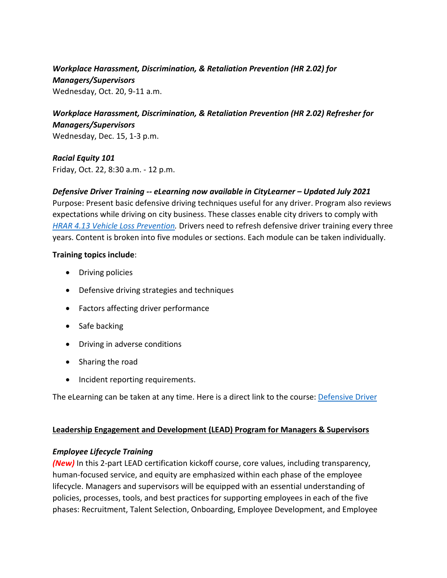# *Workplace Harassment, Discrimination, & Retaliation Prevention (HR 2.02) for Managers/Supervisors*

Wednesday, Oct. 20, 9-11 a.m.

# *Workplace Harassment, Discrimination, & Retaliation Prevention (HR 2.02) Refresher for Managers/Supervisors*

Wednesday, Dec. 15, 1-3 p.m.

*Racial Equity 101* Friday, Oct. 22, 8:30 a.m. - 12 p.m.

*Defensive Driver Training -- eLearning now available in CityLearner – Updated July 2021* Purpose: Present basic defensive driving techniques useful for any driver. Program also reviews expectations while driving on city business. These classes enable city drivers to comply with *[HRAR 4.13 Vehicle Loss Prevention.](http://www.portlandoregon.gov/?mode=search&search_action=SearchResults&top_category_tree_id=25777&filter_category_tree_id=25777&search_category_tree_id=25777&search_words=HRAR+4.13+Vehicle+Loss+Prevention&submit=Search)* Drivers need to refresh defensive driver training every three years. Content is broken into five modules or sections. Each module can be taken individually.

#### **Training topics include**:

- Driving policies
- Defensive driving strategies and techniques
- Factors affecting driver performance
- Safe backing
- Driving in adverse conditions
- Sharing the road
- Incident reporting requirements.

The eLearning can be taken at any time. Here is a direct link to the course: [Defensive Driver](https://cityofport.plateau.com/learning/user/common/viewItemDetails.do?OWASP_CSRFTOKEN=5M1O-5ANN-0TLU-3QOL-OISM-MYFY-1V3A-L7M9&componentID=LMS61011177&componentTypeID=ELRN&fromSF=Y&revisionDate=1607576040000&menuGroup=Learning&menuItem=Cur&fromDeepLink=true&hideItemDetailsBackLink=true)

#### **Leadership Engagement and Development (LEAD) Program for Managers & Supervisors**

#### *Employee Lifecycle Training*

*(New)* In this 2-part LEAD certification kickoff course, core values, including transparency, human-focused service, and equity are emphasized within each phase of the employee lifecycle. Managers and supervisors will be equipped with an essential understanding of policies, processes, tools, and best practices for supporting employees in each of the five phases: Recruitment, Talent Selection, Onboarding, Employee Development, and Employee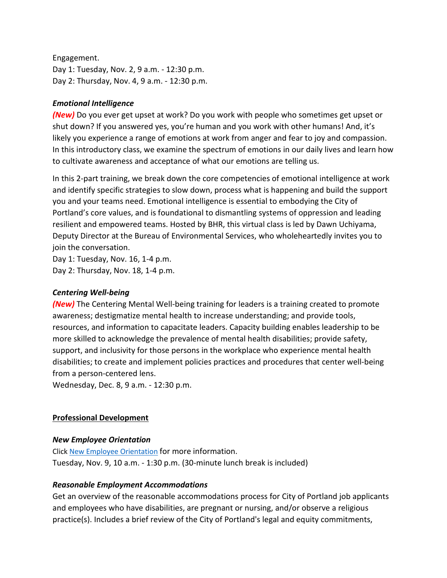Engagement. Day 1: Tuesday, Nov. 2, 9 a.m. - 12:30 p.m. Day 2: Thursday, Nov. 4, 9 a.m. - 12:30 p.m.

#### *Emotional Intelligence*

*(New)* Do you ever get upset at work? Do you work with people who sometimes get upset or shut down? If you answered yes, you're human and you work with other humans! And, it's likely you experience a range of emotions at work from anger and fear to joy and compassion. In this introductory class, we examine the spectrum of emotions in our daily lives and learn how to cultivate awareness and acceptance of what our emotions are telling us.

In this 2-part training, we break down the core competencies of emotional intelligence at work and identify specific strategies to slow down, process what is happening and build the support you and your teams need. Emotional intelligence is essential to embodying the City of Portland's core values, and is foundational to dismantling systems of oppression and leading resilient and empowered teams. Hosted by BHR, this virtual class is led by Dawn Uchiyama, Deputy Director at the Bureau of Environmental Services, who wholeheartedly invites you to join the conversation.

Day 1: Tuesday, Nov. 16, 1-4 p.m. Day 2: Thursday, Nov. 18, 1-4 p.m.

#### *Centering Well-being*

*(New)* The Centering Mental Well-being training for leaders is a training created to promote awareness; destigmatize mental health to increase understanding; and provide tools, resources, and information to capacitate leaders. Capacity building enables leadership to be more skilled to acknowledge the prevalence of mental health disabilities; provide safety, support, and inclusivity for those persons in the workplace who experience mental health disabilities; to create and implement policies practices and procedures that center well-being from a person-centered lens.

Wednesday, Dec. 8, 9 a.m. - 12:30 p.m.

#### **Professional Development**

#### *New Employee Orientation*

Click [New Employee Orientation](https://www.portlandoregon.gov/bhr/77721) for more information. Tuesday, Nov. 9, 10 a.m. - 1:30 p.m. (30-minute lunch break is included)

#### *Reasonable Employment Accommodations*

Get an overview of the reasonable accommodations process for City of Portland job applicants and employees who have disabilities, are pregnant or nursing, and/or observe a religious practice(s). Includes a brief review of the City of Portland's legal and equity commitments,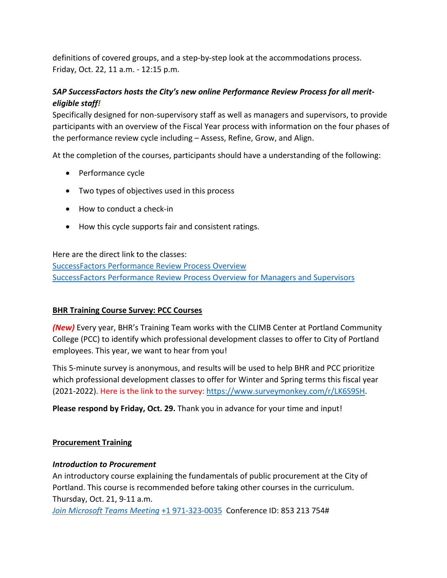definitions of covered groups, and a step-by-step look at the accommodations process. Friday, Oct. 22, 11 a.m. - 12:15 p.m.

# *SAP SuccessFactors hosts the City's new online Performance Review Process for all meriteligible staff!*

Specifically designed for non-supervisory staff as well as managers and supervisors, to provide participants with an overview of the Fiscal Year process with information on the four phases of the performance review cycle including – Assess, Refine, Grow, and Align.

At the completion of the courses, participants should have a understanding of the following:

- Performance cycle
- Two types of objectives used in this process
- How to conduct a check-in
- How this cycle supports fair and consistent ratings.

Here are the direct link to the classes:

[SuccessFactors Performance Review Process Overview](https://cityofport.plateau.com/learning/user/common/viewItemDetails.do?OWASP_CSRFTOKEN=DU90-LX7U-MJFA-R3RR-74UK-2I97-WO9L-P1RW&componentID=29037&componentTypeID=ELRN&fromSF=Y&revisionDate=1621295700000&menuGroup=Learning&menuItem=Cur&fromDeepLink=true&hideItemDetailsBackLink=true) [SuccessFactors Performance Review Process Overview for Managers and Supervisors](https://cityofport.plateau.com/learning/user/common/viewItemDetails.do?OWASP_CSRFTOKEN=52B6-NP4F-RXCB-ZUY3-124U-DEBZ-IMIS-A678&componentID=29040&componentTypeID=ELRN&fromSF=Y&revisionDate=1621298220000&menuGroup=Learning&menuItem=Cur&fromDeepLink=true&hideItemDetailsBackLink=true)

#### **BHR Training Course Survey: PCC Courses**

*(New)* Every year, BHR's Training Team works with the CLIMB Center at Portland Community College (PCC) to identify which professional development classes to offer to City of Portland employees. This year, we want to hear from you!

This 5-minute survey is anonymous, and results will be used to help BHR and PCC prioritize which professional development classes to offer for Winter and Spring terms this fiscal year (2021-2022). Here is the link to the survey: [https://www.surveymonkey.com/r/LK6S9SH.](https://www.surveymonkey.com/r/LK6S9SH)

**Please respond by Friday, Oct. 29.** Thank you in advance for your time and input!

#### **Procurement Training**

#### *Introduction to Procurement*

An introductory course explaining the fundamentals of public procurement at the City of Portland. This course is recommended before taking other courses in the curriculum. Thursday, Oct. 21, 9-11 a.m.

*[Join Microsoft Teams Meeting](https://teams.microsoft.com/l/meetup-join/19%3ameeting_OWI3OGJlZDAtYTlhYS00ZWQ0LTkwNWYtOTM5YmZlYzI1MmIx%40thread.v2/0?context=%7b%22Tid%22%3a%22636d7808-73c9-41a7-97aa-8c4733642141%22%2c%22Oid%22%3a%2286b2ae6e-2fe6-44ca-9974-4b60b2e2cd99%22%7d)* [+1 971-323-0035](tel:+19713230035,,853213754) Conference ID: 853 213 754#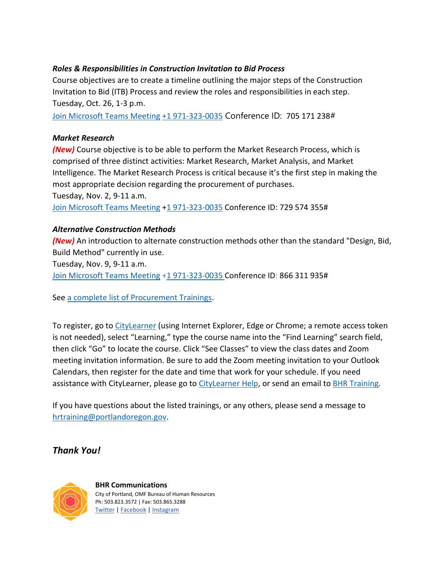#### *Roles & Responsibilities in Construction Invitation to Bid Process*

Course objectives are to create a timeline outlining the major steps of the Construction Invitation to Bid (ITB) Process and review the roles and responsibilities in each step. Tuesday, Oct. 26, 1-3 p.m.

[Join Microsoft Teams Meeting](https://teams.microsoft.com/l/meetup-join/19%3ameeting_ZTVmYjdjYjYtNDIwNC00MmE4LTkyNDktZTBjOTJjZmFkYjYw%40thread.v2/0?context=%7b%22Tid%22%3a%22636d7808-73c9-41a7-97aa-8c4733642141%22%2c%22Oid%22%3a%2286b2ae6e-2fe6-44ca-9974-4b60b2e2cd99%22%7d) [+1 971-323-0035](tel:+19713230035,,705171238) Conference ID: 705 171 238#

#### *Market Research*

*(New)* Course objective is to be able to perform the Market Research Process, which is comprised of three distinct activities: Market Research, Market Analysis, and Market Intelligence. The Market Research Process is critical because it's the first step in making the most appropriate decision regarding the procurement of purchases. Tuesday, Nov. 2, 9-11 a.m. [Join Microsoft Teams Meeting](https://teams.microsoft.com/dl/launcher/launcher.html?url=%2F_%23%2Fl%2Fmeetup-join%2F19%3Ameeting_YTUwYjg0ODEtMTZiMS00ZmRlLThjODctZDE5NDdkNzg1ZTdh%40thread.v2%2F0%3Fcontext%3D%257b%2522Tid%2522%253a%2522636d7808-73c9-41a7-97aa-8c4733642141%2522%252c%2522Oid%2522%253a%252286b2ae6e-2fe6-44ca-9974-4b60b2e2cd99%2522%257d%26anon%3Dtrue&type=meetup-join&deeplinkId=6c066d0b-0725-464d-9d13-2c553e9124ae&directDl=true&msLaunch=true&enableMobilePage=true) [+1 971-323-0035](tel:+19713230035,,729574355) Conference ID: 729 574 355#

#### *Alternative Construction Methods*

*(New)* An introduction to alternate construction methods other than the standard "Design, Bid, Build Method" currently in use.

Tuesday, Nov. 9, 9-11 a.m. [Join Microsoft Teams Meeting](https://teams.microsoft.com/l/meetup-join/19%3ameeting_ZjhkNmE5Y2EtODgyZS00NGQ4LTkxZGEtMDY1ZTE4YzdlYmZh%40thread.v2/0?context=%7b%22Tid%22%3a%22636d7808-73c9-41a7-97aa-8c4733642141%22%2c%22Oid%22%3a%2286b2ae6e-2fe6-44ca-9974-4b60b2e2cd99%22%7d) [+1 971-323-0035](tel:+19713230035,,866311935) Conference ID: 866 311 935#

See [a complete list of Procurement Trainings.](https://www.portlandoregon.gov/brfs/article/780678)

To register, go to [CityLearner](https://www.portlandoregon.gov/sf) (using Internet Explorer, Edge or Chrome; a remote access token is not needed), select "Learning," type the course name into the "Find Learning" search field, then click "Go" to locate the course. Click "See Classes" to view the class dates and Zoom meeting invitation information. Be sure to add the Zoom meeting invitation to your Outlook Calendars, then register for the date and time that work for your schedule. If you need assistance with CityLearner, please go to [CityLearner Help,](https://www.portlandoregon.gov/bhr/69963) or send an email to [BHR Training.](mailto:hrtraining@portlandoregon.gov)

If you have questions about the listed trainings, or any others, please send a message to [hrtraining@portlandoregon.gov.](mailto:hrtraining@portlandoregon.gov)

# *Thank You!*



**BHR Communications**  City of Portland, OMF Bureau of Human Resources Ph: 503.823.3572 | Fax: 503.865.3288 [Twitter](https://twitter.com/PortlandGov) [| Facebook](https://www.facebook.com/PortlandORGov/?__tn__=kHH-R) [| Instagram](https://www.instagram.com/portlandgov/)